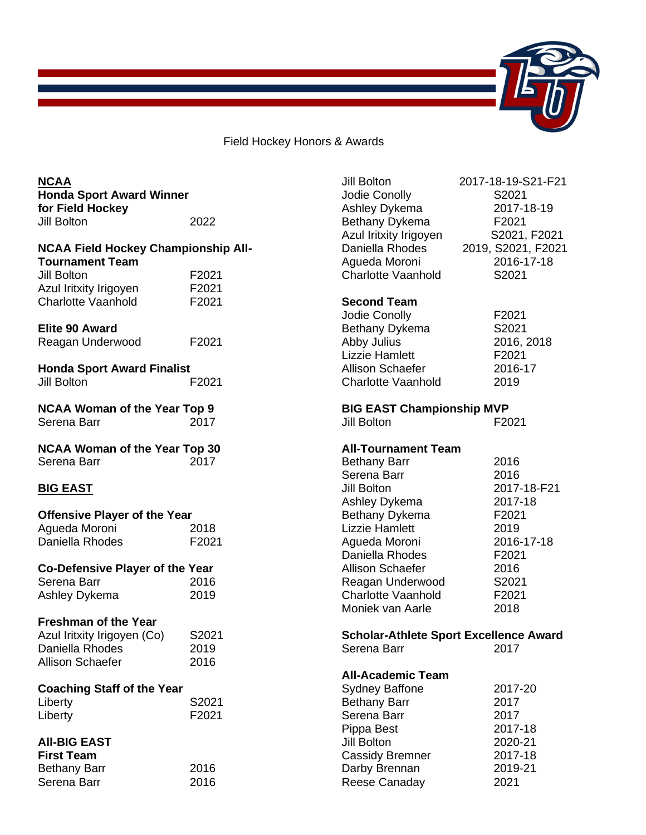

Field Hockey Honors & Awards

| <b>NCAA</b>                                |       | Jill Bolton                      | 2017-18-19-S21-F21                            |
|--------------------------------------------|-------|----------------------------------|-----------------------------------------------|
| <b>Honda Sport Award Winner</b>            |       | Jodie Conolly                    | S2021                                         |
| for Field Hockey                           |       | Ashley Dykema                    | 2017-18-19                                    |
| Jill Bolton                                | 2022  | Bethany Dykema                   | F2021                                         |
|                                            |       | Azul Iritxity Irigoyen           | S2021, F2021                                  |
| <b>NCAA Field Hockey Championship All-</b> |       | Daniella Rhodes                  | 2019, S2021, F2021                            |
| <b>Tournament Team</b>                     |       | Agueda Moroni                    | 2016-17-18                                    |
| Jill Bolton                                |       | <b>Charlotte Vaanhold</b>        |                                               |
|                                            | F2021 |                                  | S2021                                         |
| Azul Iritxity Irigoyen                     | F2021 |                                  |                                               |
| <b>Charlotte Vaanhold</b>                  | F2021 | <b>Second Team</b>               |                                               |
|                                            |       | Jodie Conolly                    | F2021                                         |
| <b>Elite 90 Award</b>                      |       | Bethany Dykema                   | S2021                                         |
| Reagan Underwood                           | F2021 | Abby Julius                      | 2016, 2018                                    |
|                                            |       | <b>Lizzie Hamlett</b>            | F2021                                         |
| <b>Honda Sport Award Finalist</b>          |       | Allison Schaefer                 | 2016-17                                       |
| Jill Bolton                                | F2021 | <b>Charlotte Vaanhold</b>        | 2019                                          |
|                                            |       |                                  |                                               |
| <b>NCAA Woman of the Year Top 9</b>        |       | <b>BIG EAST Championship MVP</b> |                                               |
| Serena Barr                                | 2017  | Jill Bolton                      | F2021                                         |
|                                            |       |                                  |                                               |
| <b>NCAA Woman of the Year Top 30</b>       |       | <b>All-Tournament Team</b>       |                                               |
| Serena Barr                                | 2017  | <b>Bethany Barr</b>              | 2016                                          |
|                                            |       | Serena Barr                      | 2016                                          |
| <b>BIG EAST</b>                            |       | Jill Bolton                      | 2017-18-F21                                   |
|                                            |       | Ashley Dykema                    | 2017-18                                       |
| <b>Offensive Player of the Year</b>        |       | Bethany Dykema                   | F2021                                         |
| Agueda Moroni                              | 2018  | <b>Lizzie Hamlett</b>            | 2019                                          |
| Daniella Rhodes                            | F2021 | Agueda Moroni                    | 2016-17-18                                    |
|                                            |       | Daniella Rhodes                  | F2021                                         |
|                                            |       |                                  |                                               |
| <b>Co-Defensive Player of the Year</b>     |       | <b>Allison Schaefer</b>          | 2016                                          |
| Serena Barr                                | 2016  | Reagan Underwood                 | S2021                                         |
| Ashley Dykema                              | 2019  | Charlotte Vaanhold               | F2021                                         |
|                                            |       | Moniek van Aarle                 | 2018                                          |
| <b>Freshman of the Year</b>                |       |                                  |                                               |
| Azul Iritxity Irigoyen (Co)                | S2021 |                                  | <b>Scholar-Athlete Sport Excellence Award</b> |
| Daniella Rhodes                            | 2019  | Serena Barr                      | 2017                                          |
| <b>Allison Schaefer</b>                    | 2016  |                                  |                                               |
|                                            |       | <b>All-Academic Team</b>         |                                               |
| <b>Coaching Staff of the Year</b>          |       | <b>Sydney Baffone</b>            | 2017-20                                       |
| Liberty                                    | S2021 | <b>Bethany Barr</b>              | 2017                                          |
| Liberty                                    | F2021 | Serena Barr                      | 2017                                          |
|                                            |       | Pippa Best                       | 2017-18                                       |
| <b>AII-BIG EAST</b>                        |       | <b>Jill Bolton</b>               | 2020-21                                       |
| <b>First Team</b>                          |       | <b>Cassidy Bremner</b>           | 2017-18                                       |
| <b>Bethany Barr</b>                        | 2016  | Darby Brennan                    | 2019-21                                       |
| Serena Barr                                | 2016  | Reese Canaday                    | 2021                                          |
|                                            |       |                                  |                                               |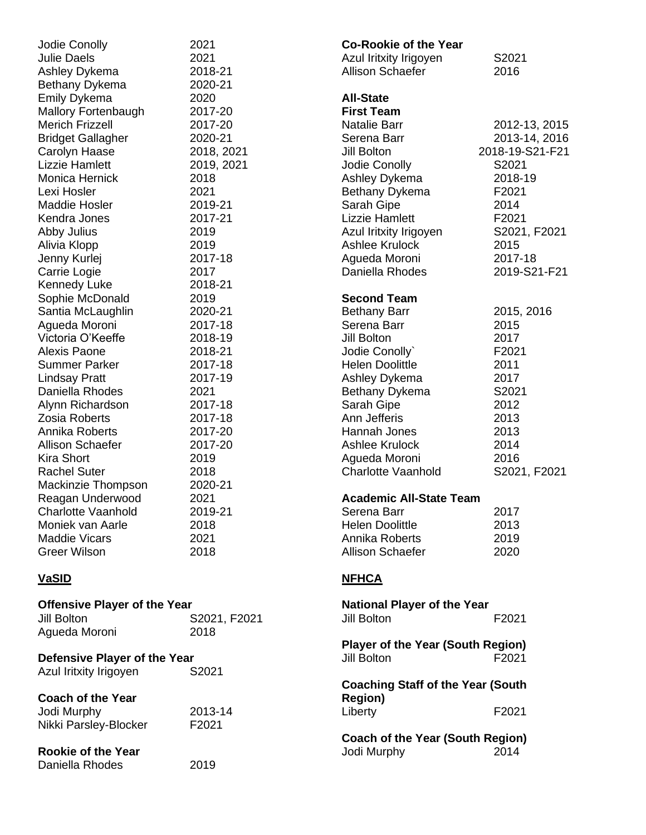| Jodie Conolly                       | 2021         |
|-------------------------------------|--------------|
| <b>Julie Daels</b>                  | 2021         |
| Ashley Dykema                       | 2018-21      |
| Bethany Dykema                      | 2020-21      |
| <b>Emily Dykema</b>                 | 2020         |
| Mallory Fortenbaugh                 | 2017-20      |
| <b>Merich Frizzell</b>              | 2017-20      |
| <b>Bridget Gallagher</b>            | 2020-21      |
| Carolyn Haase                       | 2018, 2021   |
| <b>Lizzie Hamlett</b>               | 2019, 2021   |
| Monica Hernick                      | 2018         |
| Lexi Hosler                         | 2021         |
| <b>Maddie Hosler</b>                | 2019-21      |
| Kendra Jones                        | 2017-21      |
| Abby Julius                         | 2019         |
| Alivia Klopp                        | 2019         |
| Jenny Kurlej                        | 2017-18      |
| Carrie Logie                        | 2017         |
| <b>Kennedy Luke</b>                 | 2018-21      |
| Sophie McDonald                     | 2019         |
| Santia McLaughlin                   | 2020-21      |
| Agueda Moroni                       | 2017-18      |
| Victoria O'Keeffe                   | 2018-19      |
| <b>Alexis Paone</b>                 | 2018-21      |
| <b>Summer Parker</b>                | 2017-18      |
| <b>Lindsay Pratt</b>                | 2017-19      |
| Daniella Rhodes                     | 2021         |
| Alynn Richardson                    | 2017-18      |
| <b>Zosia Roberts</b>                | 2017-18      |
| Annika Roberts                      | 2017-20      |
| <b>Allison Schaefer</b>             | 2017-20      |
| <b>Kira Short</b>                   | 2019         |
| <b>Rachel Suter</b>                 | 2018         |
| Mackinzie Thompson                  | 2020-21      |
| Reagan Underwood                    | 2021         |
| Charlotte Vaanhold                  | 2019-21      |
| Moniek van Aarle                    | 2018         |
| <b>Maddie Vicars</b>                | 2021         |
| <b>Greer Wilson</b>                 | 2018         |
| <u>VaSID</u>                        |              |
| <b>Offensive Player of the Year</b> |              |
| <b>Jill Bolton</b>                  | S2021, F2021 |
| Agueda Moroni                       | 2018         |
|                                     |              |
| Defensive Player of the Year        |              |

| Defensive Player of the Year<br>Azul Iritxity Irigoyen           | S2021            |
|------------------------------------------------------------------|------------------|
| <b>Coach of the Year</b><br>Jodi Murphy<br>Nikki Parsley-Blocker | 2013-14<br>F2021 |
| Rookie of the Year                                               |                  |

Daniella Rhodes 2019

| <b>Co-Rookie of the Year</b><br>Azul Iritxity Irigoyen<br><b>Allison Schaefer</b>                                                                                                                                                                                            | S2021<br>2016                                                                                                                                      |
|------------------------------------------------------------------------------------------------------------------------------------------------------------------------------------------------------------------------------------------------------------------------------|----------------------------------------------------------------------------------------------------------------------------------------------------|
| <b>All-State</b><br><b>First Team</b><br><b>Natalie Barr</b><br>Serena Barr<br><b>Jill Bolton</b><br>Jodie Conolly<br>Ashley Dykema<br>Bethany Dykema<br>Sarah Gipe<br><b>Lizzie Hamlett</b><br>Azul Iritxity Irigoyen<br>Ashlee Krulock<br>Agueda Moroni<br>Daniella Rhodes | 2012-13, 2015<br>2013-14, 2016<br>2018-19-S21-F21<br>S2021<br>2018-19<br>F2021<br>2014<br>F2021<br>S2021, F2021<br>2015<br>2017-18<br>2019-S21-F21 |
| <b>Second Team</b><br><b>Bethany Barr</b><br>Serena Barr<br>Jill Bolton<br>Jodie Conolly`<br><b>Helen Doolittle</b><br>Ashley Dykema<br>Bethany Dykema<br>Sarah Gipe<br>Ann Jefferis<br>Hannah Jones<br>Ashlee Krulock<br>Agueda Moroni<br><b>Charlotte Vaanhold</b>         | 2015, 2016<br>2015<br>2017<br>F2021<br>2011<br>2017<br>S2021<br>2012<br>2013<br>2013<br>2014<br>2016<br>S2021, F2021                               |
| <b>Academic All-State Team</b><br>Serena Barr<br><b>Helen Doolittle</b><br>Annika Roberts<br><b>Allison Schaefer</b>                                                                                                                                                         | 2017<br>2013<br>2019<br>2020                                                                                                                       |
| <b>NFHCA</b>                                                                                                                                                                                                                                                                 |                                                                                                                                                    |
| <b>National Player of the Year</b><br><b>Jill Bolton</b>                                                                                                                                                                                                                     | F2021                                                                                                                                              |
| <b>Player of the Year (South Region)</b><br><b>Jill Bolton</b>                                                                                                                                                                                                               | F2021                                                                                                                                              |
| <b>Coaching Staff of the Year (South</b><br><b>Region)</b><br>Liberty                                                                                                                                                                                                        | F2021                                                                                                                                              |
| <b>Coach of the Year (South Region)</b><br>Jodi Murphy                                                                                                                                                                                                                       | 2014                                                                                                                                               |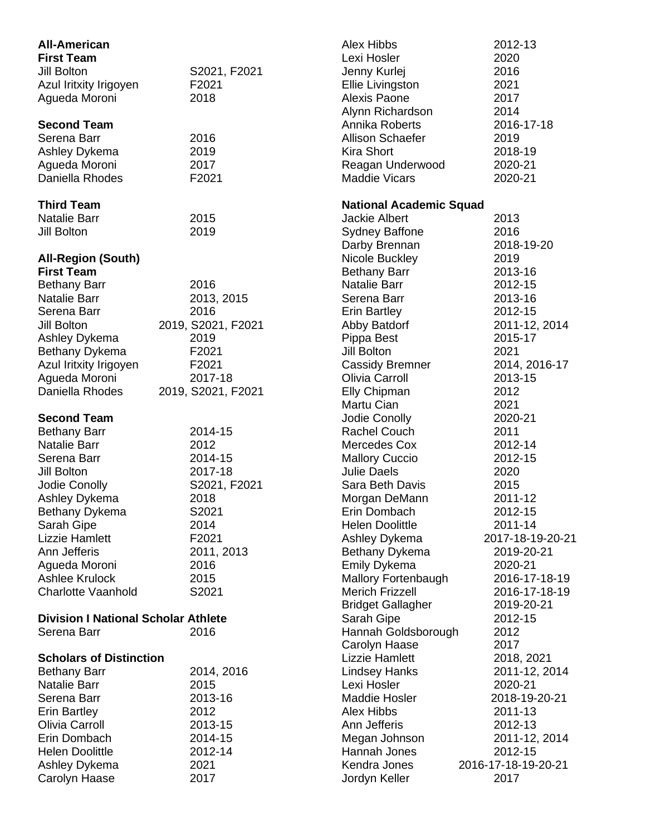| <b>All-American</b><br><b>First Team</b><br>Jill Bolton<br>Azul Iritxity Irigoyen<br>Agueda Moroni | S2021, F2021<br>F2021<br>2018 | Alex Hibbs<br>Lexi Hosler<br>Jenny Kurlej<br>Ellie Livingston<br>Alexis Paone | 2012-13<br>2020<br>2016<br>2021<br>2017 |
|----------------------------------------------------------------------------------------------------|-------------------------------|-------------------------------------------------------------------------------|-----------------------------------------|
| <b>Second Team</b>                                                                                 |                               | Alynn Richardson<br>Annika Roberts                                            | 2014<br>2016-17-18                      |
| Serena Barr                                                                                        | 2016                          | <b>Allison Schaefer</b>                                                       | 2019                                    |
| Ashley Dykema                                                                                      | 2019                          | <b>Kira Short</b>                                                             | 2018-19                                 |
| Agueda Moroni                                                                                      | 2017                          | Reagan Underwood                                                              | 2020-21                                 |
| Daniella Rhodes                                                                                    | F2021                         | <b>Maddie Vicars</b>                                                          | 2020-21                                 |
| <b>Third Team</b>                                                                                  |                               | <b>National Academic Squad</b>                                                |                                         |
| <b>Natalie Barr</b>                                                                                | 2015                          | <b>Jackie Albert</b>                                                          | 2013                                    |
| Jill Bolton                                                                                        | 2019                          | <b>Sydney Baffone</b>                                                         | 2016                                    |
|                                                                                                    |                               | Darby Brennan                                                                 | 2018-19-20                              |
| <b>All-Region (South)</b><br><b>First Team</b>                                                     |                               | Nicole Buckley<br><b>Bethany Barr</b>                                         | 2019<br>2013-16                         |
| <b>Bethany Barr</b>                                                                                | 2016                          | <b>Natalie Barr</b>                                                           | 2012-15                                 |
| <b>Natalie Barr</b>                                                                                | 2013, 2015                    | Serena Barr                                                                   | 2013-16                                 |
| Serena Barr                                                                                        | 2016                          | <b>Erin Bartley</b>                                                           | 2012-15                                 |
| Jill Bolton                                                                                        | 2019, S2021, F2021            | Abby Batdorf                                                                  | 2011-12, 2014                           |
| Ashley Dykema                                                                                      | 2019                          | Pippa Best                                                                    | 2015-17                                 |
| Bethany Dykema                                                                                     | F2021                         | Jill Bolton                                                                   | 2021                                    |
| Azul Iritxity Irigoyen                                                                             | F2021                         | <b>Cassidy Bremner</b>                                                        | 2014, 2016-17                           |
| Agueda Moroni                                                                                      | 2017-18                       | Olivia Carroll                                                                | 2013-15                                 |
| Daniella Rhodes                                                                                    | 2019, S2021, F2021            | Elly Chipman                                                                  | 2012                                    |
|                                                                                                    |                               | Martu Cian                                                                    | 2021                                    |
| <b>Second Team</b>                                                                                 |                               | Jodie Conolly                                                                 | 2020-21                                 |
| <b>Bethany Barr</b>                                                                                | 2014-15                       | Rachel Couch                                                                  | 2011                                    |
| <b>Natalie Barr</b>                                                                                | 2012                          | Mercedes Cox                                                                  | 2012-14                                 |
| Serena Barr                                                                                        | 2014-15                       | <b>Mallory Cuccio</b>                                                         | 2012-15                                 |
| Jill Bolton<br>Jodie Conolly                                                                       | 2017-18                       | <b>Julie Daels</b>                                                            | 2020                                    |
| Ashley Dykema                                                                                      | S2021, F2021<br>2018          | Sara Beth Davis<br>Morgan DeMann                                              | 2015<br>2011-12                         |
| Bethany Dykema                                                                                     | S2021                         | Erin Dombach                                                                  | 2012-15                                 |
| Sarah Gipe                                                                                         | 2014                          | <b>Helen Doolittle</b>                                                        | 2011-14                                 |
| Lizzie Hamlett                                                                                     | F2021                         | Ashley Dykema                                                                 | 2017-18-19-20-21                        |
| Ann Jefferis                                                                                       | 2011, 2013                    | Bethany Dykema                                                                | 2019-20-21                              |
| Agueda Moroni                                                                                      | 2016                          | Emily Dykema                                                                  | 2020-21                                 |
| <b>Ashlee Krulock</b>                                                                              | 2015                          | <b>Mallory Fortenbaugh</b>                                                    | 2016-17-18-19                           |
| <b>Charlotte Vaanhold</b>                                                                          | S2021                         | <b>Merich Frizzell</b>                                                        | 2016-17-18-19                           |
|                                                                                                    |                               | <b>Bridget Gallagher</b>                                                      | 2019-20-21                              |
| <b>Division I National Scholar Athlete</b>                                                         |                               | Sarah Gipe                                                                    | 2012-15                                 |
| Serena Barr                                                                                        | 2016                          | Hannah Goldsborough                                                           | 2012                                    |
|                                                                                                    |                               | Carolyn Haase                                                                 | 2017                                    |
| <b>Scholars of Distinction</b>                                                                     |                               | <b>Lizzie Hamlett</b>                                                         | 2018, 2021                              |
| <b>Bethany Barr</b>                                                                                | 2014, 2016                    | <b>Lindsey Hanks</b>                                                          | 2011-12, 2014                           |
| <b>Natalie Barr</b><br>Serena Barr                                                                 | 2015                          | Lexi Hosler<br><b>Maddie Hosler</b>                                           | 2020-21                                 |
|                                                                                                    | 2013-16<br>2012               | <b>Alex Hibbs</b>                                                             | 2018-19-20-21<br>2011-13                |
| <b>Erin Bartley</b><br>Olivia Carroll                                                              | 2013-15                       | Ann Jefferis                                                                  | 2012-13                                 |
| Erin Dombach                                                                                       | 2014-15                       | Megan Johnson                                                                 | 2011-12, 2014                           |
| <b>Helen Doolittle</b>                                                                             | 2012-14                       | Hannah Jones                                                                  | 2012-15                                 |
| Ashley Dykema                                                                                      | 2021                          | Kendra Jones                                                                  | 2016-17-18-19-20-21                     |
| Carolyn Haase                                                                                      | 2017                          | Jordyn Keller                                                                 | 2017                                    |